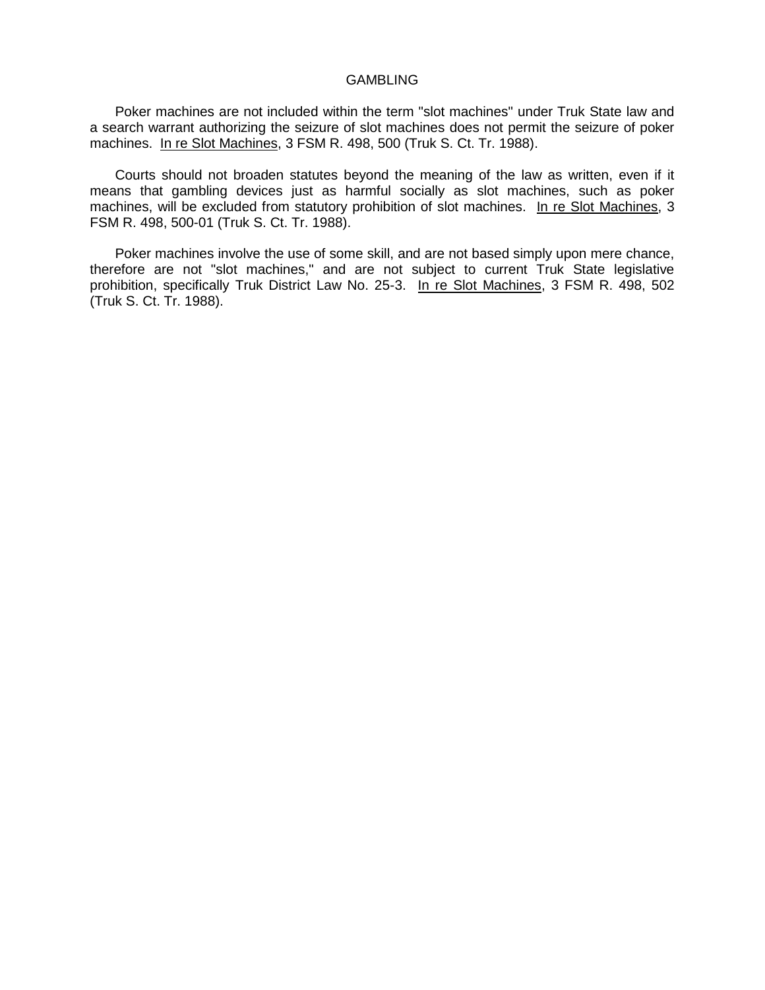## GAMBLING

Poker machines are not included within the term "slot machines" under Truk State law and a search warrant authorizing the seizure of slot machines does not permit the seizure of poker machines. In re Slot Machines, 3 FSM R. 498, 500 (Truk S. Ct. Tr. 1988).

Courts should not broaden statutes beyond the meaning of the law as written, even if it means that gambling devices just as harmful socially as slot machines, such as poker machines, will be excluded from statutory prohibition of slot machines. In re Slot Machines, 3 FSM R. 498, 500-01 (Truk S. Ct. Tr. 1988).

Poker machines involve the use of some skill, and are not based simply upon mere chance, therefore are not "slot machines," and are not subject to current Truk State legislative prohibition, specifically Truk District Law No. 25-3. In re Slot Machines, 3 FSM R. 498, 502 (Truk S. Ct. Tr. 1988).